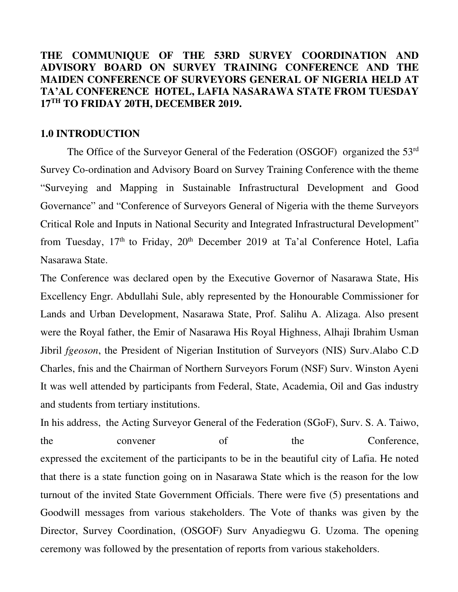## **THE COMMUNIQUE OF THE 53RD SURVEY COORDINATION AND ADVISORY BOARD ON SURVEY TRAINING CONFERENCE AND THE MAIDEN CONFERENCE OF SURVEYORS GENERAL OF NIGERIA HELD AT TA'AL CONFERENCE HOTEL, LAFIA NASARAWA STATE FROM TUESDAY 17TH TO FRIDAY 20TH, DECEMBER 2019.**

#### **1.0 INTRODUCTION**

The Office of the Surveyor General of the Federation (OSGOF) organized the 53rd Survey Co-ordination and Advisory Board on Survey Training Conference with the theme "Surveying and Mapping in Sustainable Infrastructural Development and Good Governance" and "Conference of Surveyors General of Nigeria with the theme Surveyors Critical Role and Inputs in National Security and Integrated Infrastructural Development" from Tuesday,  $17<sup>th</sup>$  to Friday,  $20<sup>th</sup>$  December 2019 at Ta'al Conference Hotel, Lafia Nasarawa State.

The Conference was declared open by the Executive Governor of Nasarawa State, His Excellency Engr. Abdullahi Sule, ably represented by the Honourable Commissioner for Lands and Urban Development, Nasarawa State, Prof. Salihu A. Alizaga. Also present were the Royal father, the Emir of Nasarawa His Royal Highness, Alhaji Ibrahim Usman Jibril *fgeoson*, the President of Nigerian Institution of Surveyors (NIS) Surv.Alabo C.D Charles, fnis and the Chairman of Northern Surveyors Forum (NSF) Surv. Winston Ayeni It was well attended by participants from Federal, State, Academia, Oil and Gas industry and students from tertiary institutions.

In his address, the Acting Surveyor General of the Federation (SGoF), Surv. S. A. Taiwo, the convener of the Conference, expressed the excitement of the participants to be in the beautiful city of Lafia. He noted that there is a state function going on in Nasarawa State which is the reason for the low turnout of the invited State Government Officials. There were five (5) presentations and Goodwill messages from various stakeholders. The Vote of thanks was given by the Director, Survey Coordination, (OSGOF) Surv Anyadiegwu G. Uzoma. The opening ceremony was followed by the presentation of reports from various stakeholders.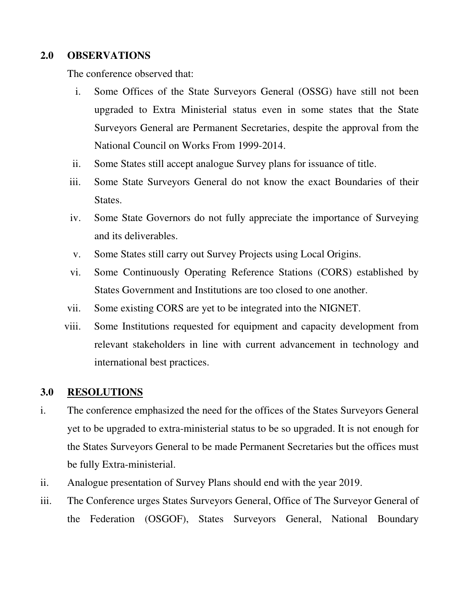## **2.0 OBSERVATIONS**

The conference observed that:

- i. Some Offices of the State Surveyors General (OSSG) have still not been upgraded to Extra Ministerial status even in some states that the State Surveyors General are Permanent Secretaries, despite the approval from the National Council on Works From 1999-2014.
- ii. Some States still accept analogue Survey plans for issuance of title.
- iii. Some State Surveyors General do not know the exact Boundaries of their States.
- iv. Some State Governors do not fully appreciate the importance of Surveying and its deliverables.
- v. Some States still carry out Survey Projects using Local Origins.
- vi. Some Continuously Operating Reference Stations (CORS) established by States Government and Institutions are too closed to one another.
- vii. Some existing CORS are yet to be integrated into the NIGNET.
- viii. Some Institutions requested for equipment and capacity development from relevant stakeholders in line with current advancement in technology and international best practices.

#### **3.0 RESOLUTIONS**

- i. The conference emphasized the need for the offices of the States Surveyors General yet to be upgraded to extra-ministerial status to be so upgraded. It is not enough for the States Surveyors General to be made Permanent Secretaries but the offices must be fully Extra-ministerial.
- ii. Analogue presentation of Survey Plans should end with the year 2019.
- iii. The Conference urges States Surveyors General, Office of The Surveyor General of the Federation (OSGOF), States Surveyors General, National Boundary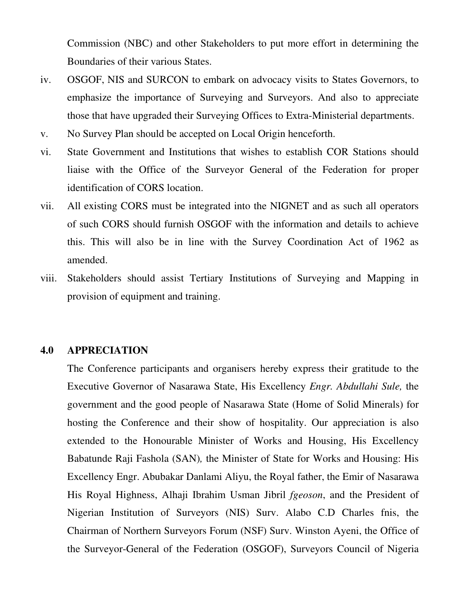Commission (NBC) and other Stakeholders to put more effort in determining the Boundaries of their various States.

- iv. OSGOF, NIS and SURCON to embark on advocacy visits to States Governors, to emphasize the importance of Surveying and Surveyors. And also to appreciate those that have upgraded their Surveying Offices to Extra-Ministerial departments.
- v. No Survey Plan should be accepted on Local Origin henceforth.
- vi. State Government and Institutions that wishes to establish COR Stations should liaise with the Office of the Surveyor General of the Federation for proper identification of CORS location.
- vii. All existing CORS must be integrated into the NIGNET and as such all operators of such CORS should furnish OSGOF with the information and details to achieve this. This will also be in line with the Survey Coordination Act of 1962 as amended.
- viii. Stakeholders should assist Tertiary Institutions of Surveying and Mapping in provision of equipment and training.

#### **4.0 APPRECIATION**

The Conference participants and organisers hereby express their gratitude to the Executive Governor of Nasarawa State, His Excellency *Engr. Abdullahi Sule,* the government and the good people of Nasarawa State (Home of Solid Minerals) for hosting the Conference and their show of hospitality. Our appreciation is also extended to the Honourable Minister of Works and Housing, His Excellency Babatunde Raji Fashola (SAN)*,* the Minister of State for Works and Housing: His Excellency Engr. Abubakar Danlami Aliyu, the Royal father, the Emir of Nasarawa His Royal Highness, Alhaji Ibrahim Usman Jibril *fgeoson*, and the President of Nigerian Institution of Surveyors (NIS) Surv. Alabo C.D Charles fnis, the Chairman of Northern Surveyors Forum (NSF) Surv. Winston Ayeni, the Office of the Surveyor-General of the Federation (OSGOF), Surveyors Council of Nigeria